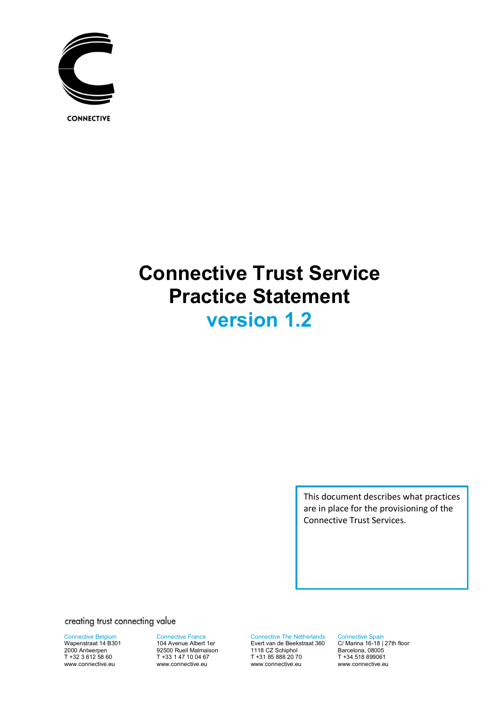

**CONNECTIVE** 

# **Connective Trust Service Practice Statement version 1.2**

This document describes what practices are in place for the provisioning of the Connective Trust Services.

creating trust connecting value

Connective Belgium Wapenstraat 14 B301

2000 Antwerpen T +32 3 612 58 60 www.connective.eu

Connective France 104 Avenue Albert 1er 92500 Rueil Malmaison T +33 1 47 10 04 67 www.connective.eu

Connective The Netherlands Evert van de Beekstraat 360 1118 CZ Schiphol T +31 85 888 20 70 www.connective.eu

Connective Spain C/ Marina 16-18 | 27th floor Barcelona, 08005 T +34 518 899061 www.connective.eu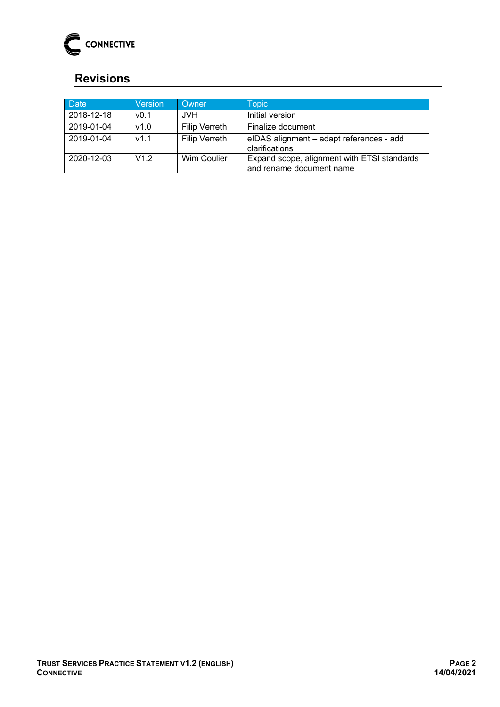

# <span id="page-1-0"></span>**Revisions**

| <b>Date</b> | Version          | Owner                | <b>Topic</b>                                                            |
|-------------|------------------|----------------------|-------------------------------------------------------------------------|
| 2018-12-18  | v <sub>0.1</sub> | JVH.                 | Initial version                                                         |
| 2019-01-04  | v1.0             | <b>Filip Verreth</b> | Finalize document                                                       |
| 2019-01-04  | v1.1             | <b>Filip Verreth</b> | elDAS alignment - adapt references - add<br>clarifications              |
| 2020-12-03  | V12              | Wim Coulier          | Expand scope, alignment with ETSI standards<br>and rename document name |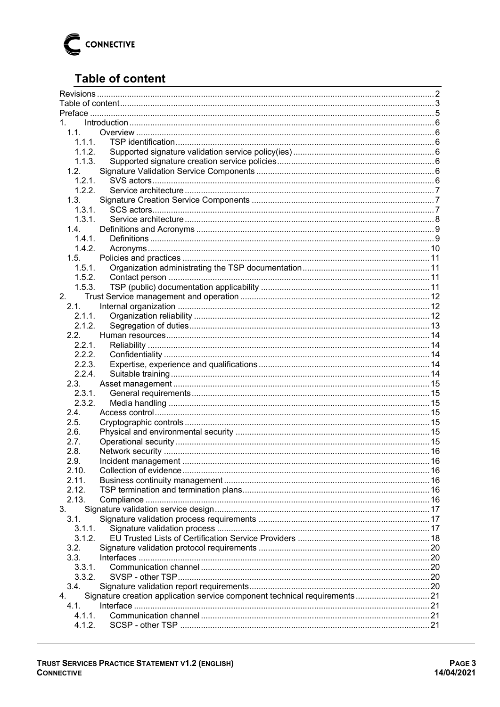

# <span id="page-2-0"></span>**Table of content**

| 1. $\blacksquare$ |                                                                            |  |  |  |
|-------------------|----------------------------------------------------------------------------|--|--|--|
| 1.1.              |                                                                            |  |  |  |
| 1.1.1.            |                                                                            |  |  |  |
| 1.1.2.            |                                                                            |  |  |  |
| 1.1.3.            |                                                                            |  |  |  |
| 1.2.              |                                                                            |  |  |  |
| 1.2.1.            |                                                                            |  |  |  |
| 1.2.2.            |                                                                            |  |  |  |
| 1.3.              |                                                                            |  |  |  |
| 1.3.1.            |                                                                            |  |  |  |
| 1.3.1.            |                                                                            |  |  |  |
| 1.4.              |                                                                            |  |  |  |
| 1.4.1.            |                                                                            |  |  |  |
| 1.4.2.            |                                                                            |  |  |  |
| 1.5.              |                                                                            |  |  |  |
| 1.5.1.            |                                                                            |  |  |  |
| 1.5.2.            |                                                                            |  |  |  |
| 1.5.3.            |                                                                            |  |  |  |
| 2.                |                                                                            |  |  |  |
|                   |                                                                            |  |  |  |
| 2.1.              |                                                                            |  |  |  |
| 2.1.1.            |                                                                            |  |  |  |
| 2.1.2.            |                                                                            |  |  |  |
| 2.2.              |                                                                            |  |  |  |
| 2.2.1.            |                                                                            |  |  |  |
| 2.2.2.            |                                                                            |  |  |  |
| 2.2.3.            |                                                                            |  |  |  |
| 2.2.4.            |                                                                            |  |  |  |
| 2.3.              |                                                                            |  |  |  |
| 2.3.1.            |                                                                            |  |  |  |
| 2.3.2.            |                                                                            |  |  |  |
| 2.4.              |                                                                            |  |  |  |
| 2.5.              |                                                                            |  |  |  |
| 2.6.              |                                                                            |  |  |  |
| 2.7.              |                                                                            |  |  |  |
| 2.8.              |                                                                            |  |  |  |
| 2.9.              |                                                                            |  |  |  |
| 2.10.             |                                                                            |  |  |  |
| 2.11.             |                                                                            |  |  |  |
| 2.12.             |                                                                            |  |  |  |
| 2.13.             |                                                                            |  |  |  |
|                   |                                                                            |  |  |  |
| 3.                |                                                                            |  |  |  |
| 3.1.              |                                                                            |  |  |  |
| 3.1.1.            |                                                                            |  |  |  |
| 3.1.2.            |                                                                            |  |  |  |
| 3.2.              |                                                                            |  |  |  |
| 3.3.              |                                                                            |  |  |  |
| 3.3.1.            |                                                                            |  |  |  |
| 3.3.2.            |                                                                            |  |  |  |
| 3.4.              |                                                                            |  |  |  |
| 4.                | Signature creation application service component technical requirements 21 |  |  |  |
| 4.1.              |                                                                            |  |  |  |
| 4.1.1.            |                                                                            |  |  |  |
| 4.1.2.            |                                                                            |  |  |  |
|                   |                                                                            |  |  |  |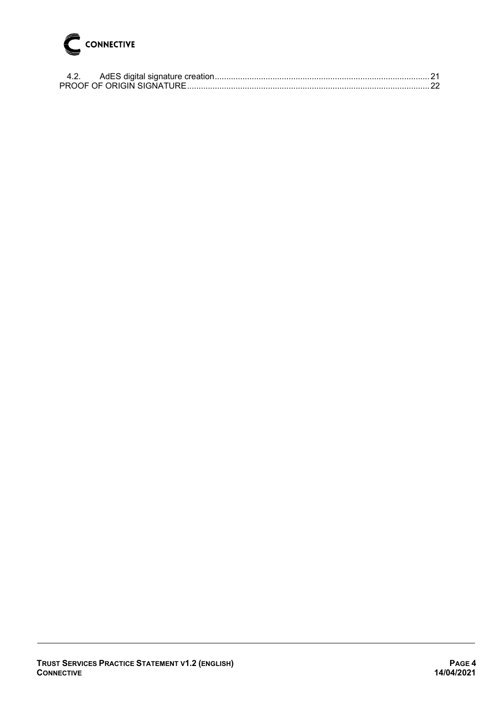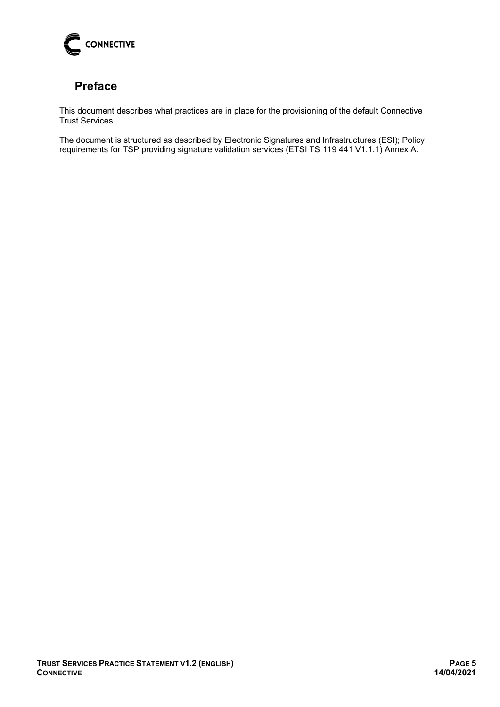

# <span id="page-4-0"></span>**Preface**

This document describes what practices are in place for the provisioning of the default Connective Trust Services.

The document is structured as described by Electronic Signatures and Infrastructures (ESI); Policy requirements for TSP providing signature validation services (ETSI TS 119 441 V1.1.1) Annex A.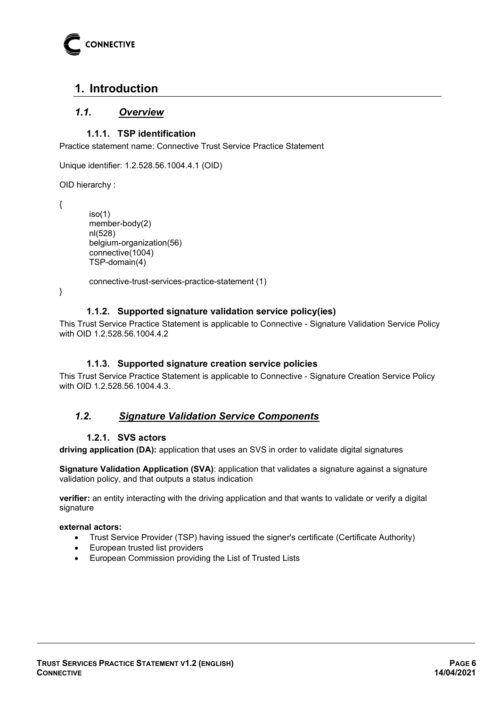

# <span id="page-5-0"></span>**1. Introduction**

## <span id="page-5-1"></span>*1.1. Overview*

## **1.1.1. TSP identification**

<span id="page-5-2"></span>Practice statement name: Connective Trust Service Practice Statement

Unique identifier: 1.2.528.56.1004.4.1 (OID)

OID hierarchy :

{

```
iso(1) member-body(2) 
nl(528) 
belgium-organization(56) 
connective(1004) 
TSP-domain(4)
```
connective-trust-services-practice-statement (1)

<span id="page-5-3"></span>}

#### **1.1.2. Supported signature validation service policy(ies)**

This Trust Service Practice Statement is applicable to Connective - Signature Validation Service Policy with OID 1.2.528.56.1004.4.2

#### **1.1.3. Supported signature creation service policies**

<span id="page-5-4"></span>This Trust Service Practice Statement is applicable to Connective - Signature Creation Service Policy with OID 1.2.528.56.1004.4.3.

## <span id="page-5-5"></span>*1.2. Signature Validation Service Components*

#### **1.2.1. SVS actors**

<span id="page-5-6"></span>**driving application (DA):** application that uses an SVS in order to validate digital signatures

**Signature Validation Application (SVA)**: application that validates a signature against a signature validation policy, and that outputs a status indication

**verifier:** an entity interacting with the driving application and that wants to validate or verify a digital signature

#### **external actors:**

- Trust Service Provider (TSP) having issued the signer's certificate (Certificate Authority)
- European trusted list providers
- European Commission providing the List of Trusted Lists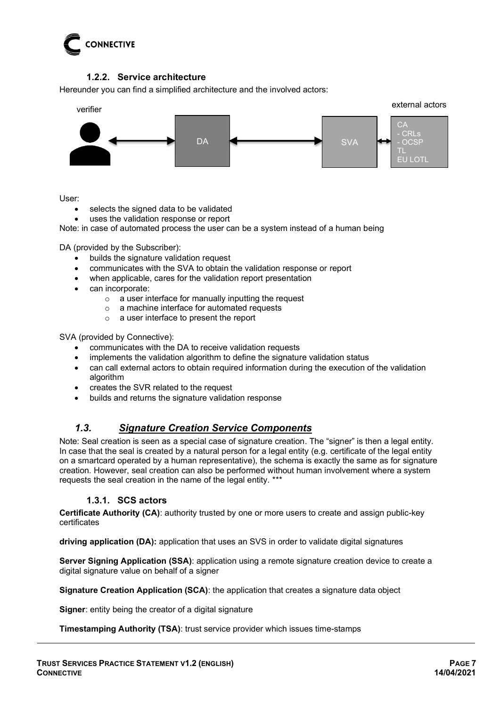

## **1.2.2. Service architecture**

<span id="page-6-0"></span>Hereunder you can find a simplified architecture and the involved actors:



User:

- selects the signed data to be validated
- uses the validation response or report

Note: in case of automated process the user can be a system instead of a human being

DA (provided by the Subscriber):

- builds the signature validation request
- communicates with the SVA to obtain the validation response or report
- when applicable, cares for the validation report presentation
- can incorporate:
	- o a user interface for manually inputting the request
	- o a machine interface for automated requests
	- o a user interface to present the report

SVA (provided by Connective):

- communicates with the DA to receive validation requests
- implements the validation algorithm to define the signature validation status
- can call external actors to obtain required information during the execution of the validation algorithm
- creates the SVR related to the request
- builds and returns the signature validation response

## <span id="page-6-1"></span>*1.3. Signature Creation Service Components*

Note: Seal creation is seen as a special case of signature creation. The "signer" is then a legal entity. In case that the seal is created by a natural person for a legal entity (e.g. certificate of the legal entity on a smartcard operated by a human representative), the schema is exactly the same as for signature creation. However, seal creation can also be performed without human involvement where a system requests the seal creation in the name of the legal entity. \*\*\*

#### **1.3.1. SCS actors**

<span id="page-6-2"></span>**Certificate Authority (CA)**: authority trusted by one or more users to create and assign public-key certificates

**driving application (DA):** application that uses an SVS in order to validate digital signatures

**Server Signing Application (SSA)**: application using a remote signature creation device to create a digital signature value on behalf of a signer

**Signature Creation Application (SCA)**: the application that creates a signature data object

**Signer**: entity being the creator of a digital signature

#### **Timestamping Authority (TSA)**: trust service provider which issues time-stamps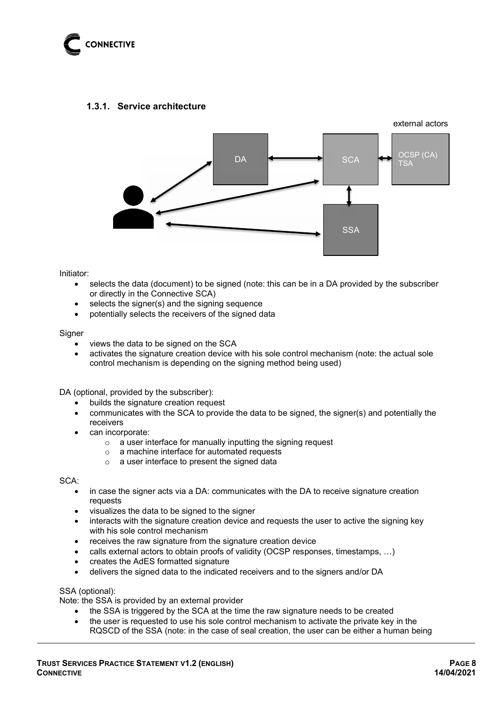

### <span id="page-7-0"></span>**1.3.1. Service architecture**



Initiator:

- selects the data (document) to be signed (note: this can be in a DA provided by the subscriber or directly in the Connective SCA)
- selects the signer(s) and the signing sequence
- potentially selects the receivers of the signed data

#### **Signer**

- views the data to be signed on the SCA
- activates the signature creation device with his sole control mechanism (note: the actual sole control mechanism is depending on the signing method being used)

DA (optional, provided by the subscriber):

- builds the signature creation request
- communicates with the SCA to provide the data to be signed, the signer(s) and potentially the receivers
- can incorporate:
	- o a user interface for manually inputting the signing request
	- o a machine interface for automated requests
	- o a user interface to present the signed data

SCA:

- in case the signer acts via a DA: communicates with the DA to receive signature creation requests
- visualizes the data to be signed to the signer
- interacts with the signature creation device and requests the user to active the signing key with his sole control mechanism
- receives the raw signature from the signature creation device
- calls external actors to obtain proofs of validity (OCSP responses, timestamps, ...)
- creates the AdES formatted signature
- delivers the signed data to the indicated receivers and to the signers and/or DA

SSA (optional):

Note: the SSA is provided by an external provider

- the SSA is triggered by the SCA at the time the raw signature needs to be created
- the user is requested to use his sole control mechanism to activate the private key in the RQSCD of the SSA (note: in the case of seal creation, the user can be either a human being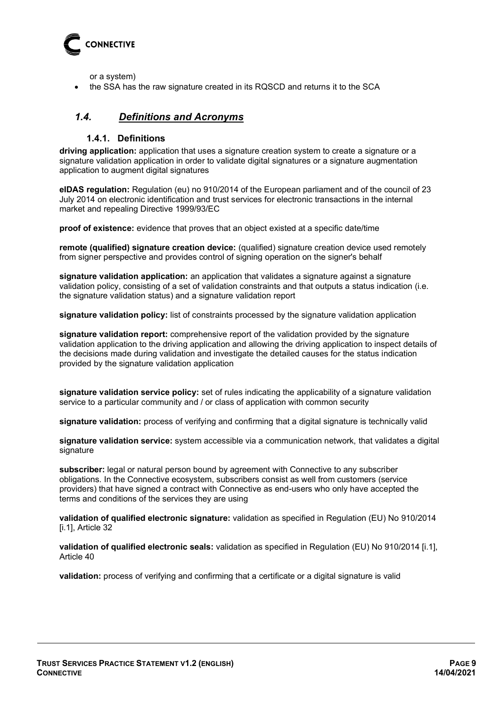

or a system)

• the SSA has the raw signature created in its RQSCD and returns it to the SCA

## <span id="page-8-0"></span>*1.4. Definitions and Acronyms*

#### **1.4.1. Definitions**

<span id="page-8-1"></span>**driving application:** application that uses a signature creation system to create a signature or a signature validation application in order to validate digital signatures or a signature augmentation application to augment digital signatures

**eIDAS regulation:** Regulation (eu) no 910/2014 of the European parliament and of the council of 23 July 2014 on electronic identification and trust services for electronic transactions in the internal market and repealing Directive 1999/93/EC

**proof of existence:** evidence that proves that an object existed at a specific date/time

**remote (qualified) signature creation device:** (qualified) signature creation device used remotely from signer perspective and provides control of signing operation on the signer's behalf

**signature validation application:** an application that validates a signature against a signature validation policy, consisting of a set of validation constraints and that outputs a status indication (i.e. the signature validation status) and a signature validation report

**signature validation policy:** list of constraints processed by the signature validation application

**signature validation report:** comprehensive report of the validation provided by the signature validation application to the driving application and allowing the driving application to inspect details of the decisions made during validation and investigate the detailed causes for the status indication provided by the signature validation application

**signature validation service policy:** set of rules indicating the applicability of a signature validation service to a particular community and / or class of application with common security

**signature validation:** process of verifying and confirming that a digital signature is technically valid

**signature validation service:** system accessible via a communication network, that validates a digital signature

**subscriber:** legal or natural person bound by agreement with Connective to any subscriber obligations. In the Connective ecosystem, subscribers consist as well from customers (service providers) that have signed a contract with Connective as end-users who only have accepted the terms and conditions of the services they are using

**validation of qualified electronic signature:** validation as specified in Regulation (EU) No 910/2014 [i.1], Article 32

**validation of qualified electronic seals:** validation as specified in Regulation (EU) No 910/2014 [i.1], Article 40

**validation:** process of verifying and confirming that a certificate or a digital signature is valid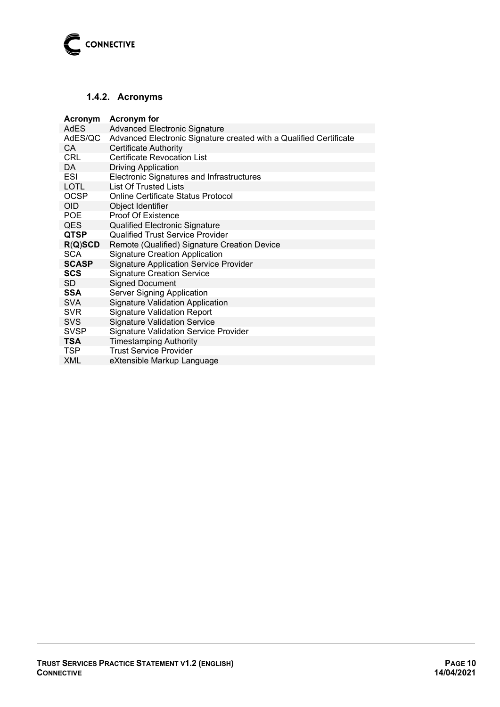

## <span id="page-9-0"></span>**1.4.2. Acronyms**

| Acronym      | <b>Acronym</b> for                                                 |  |  |  |
|--------------|--------------------------------------------------------------------|--|--|--|
| AdES         | <b>Advanced Electronic Signature</b>                               |  |  |  |
| AdES/QC      | Advanced Electronic Signature created with a Qualified Certificate |  |  |  |
| <b>CA</b>    | <b>Certificate Authority</b>                                       |  |  |  |
| <b>CRL</b>   | <b>Certificate Revocation List</b>                                 |  |  |  |
| DA           | <b>Driving Application</b>                                         |  |  |  |
| <b>ESI</b>   | Electronic Signatures and Infrastructures                          |  |  |  |
| <b>LOTL</b>  | <b>List Of Trusted Lists</b>                                       |  |  |  |
| <b>OCSP</b>  | <b>Online Certificate Status Protocol</b>                          |  |  |  |
| <b>OID</b>   | Object Identifier                                                  |  |  |  |
| <b>POE</b>   | <b>Proof Of Existence</b>                                          |  |  |  |
| <b>QES</b>   | <b>Qualified Electronic Signature</b>                              |  |  |  |
| <b>QTSP</b>  | <b>Qualified Trust Service Provider</b>                            |  |  |  |
| R(Q)SCD      | Remote (Qualified) Signature Creation Device                       |  |  |  |
| <b>SCA</b>   | <b>Signature Creation Application</b>                              |  |  |  |
| <b>SCASP</b> | <b>Signature Application Service Provider</b>                      |  |  |  |
| <b>SCS</b>   | <b>Signature Creation Service</b>                                  |  |  |  |
| <b>SD</b>    | <b>Signed Document</b>                                             |  |  |  |
| <b>SSA</b>   | <b>Server Signing Application</b>                                  |  |  |  |
| <b>SVA</b>   | <b>Signature Validation Application</b>                            |  |  |  |
| <b>SVR</b>   | <b>Signature Validation Report</b>                                 |  |  |  |
| <b>SVS</b>   | <b>Signature Validation Service</b>                                |  |  |  |
| <b>SVSP</b>  | <b>Signature Validation Service Provider</b>                       |  |  |  |
| <b>TSA</b>   | <b>Timestamping Authority</b>                                      |  |  |  |
| <b>TSP</b>   | <b>Trust Service Provider</b>                                      |  |  |  |
| <b>XML</b>   | eXtensible Markup Language                                         |  |  |  |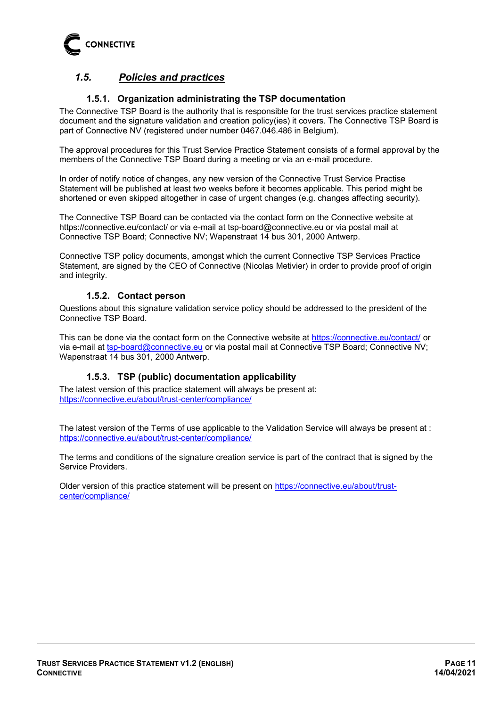

## <span id="page-10-0"></span>*1.5. Policies and practices*

### **1.5.1. Organization administrating the TSP documentation**

<span id="page-10-1"></span>The Connective TSP Board is the authority that is responsible for the trust services practice statement document and the signature validation and creation policy(ies) it covers. The Connective TSP Board is part of Connective NV (registered under number 0467.046.486 in Belgium).

The approval procedures for this Trust Service Practice Statement consists of a formal approval by the members of the Connective TSP Board during a meeting or via an e-mail procedure.

In order of notify notice of changes, any new version of the Connective Trust Service Practise Statement will be published at least two weeks before it becomes applicable. This period might be shortened or even skipped altogether in case of urgent changes (e.g. changes affecting security).

The Connective TSP Board can be contacted via the contact form on the Connective website at https://connective.eu/contact/ or via e-mail at tsp-board@connective.eu or via postal mail at Connective TSP Board; Connective NV; Wapenstraat 14 bus 301, 2000 Antwerp.

Connective TSP policy documents, amongst which the current Connective TSP Services Practice Statement, are signed by the CEO of Connective (Nicolas Metivier) in order to provide proof of origin and integrity.

#### **1.5.2. Contact person**

<span id="page-10-2"></span>Questions about this signature validation service policy should be addressed to the president of the Connective TSP Board.

This can be done via the contact form on the Connective website at<https://connective.eu/contact/>or via e-mail at [tsp-board@connective.eu](mailto:tsp-board@connective.eu) or via postal mail at Connective TSP Board; Connective NV; Wapenstraat 14 bus 301, 2000 Antwerp.

#### **1.5.3. TSP (public) documentation applicability**

<span id="page-10-3"></span>The latest version of this practice statement will always be present at: <https://connective.eu/about/trust-center/compliance/>

The latest version of the Terms of use applicable to the Validation Service will always be present at : <https://connective.eu/about/trust-center/compliance/>

The terms and conditions of the signature creation service is part of the contract that is signed by the Service Providers.

Older version of this practice statement will be present on [https://connective.eu/about/trust](https://connective.eu/about/trust-center/compliance/)[center/compliance/](https://connective.eu/about/trust-center/compliance/)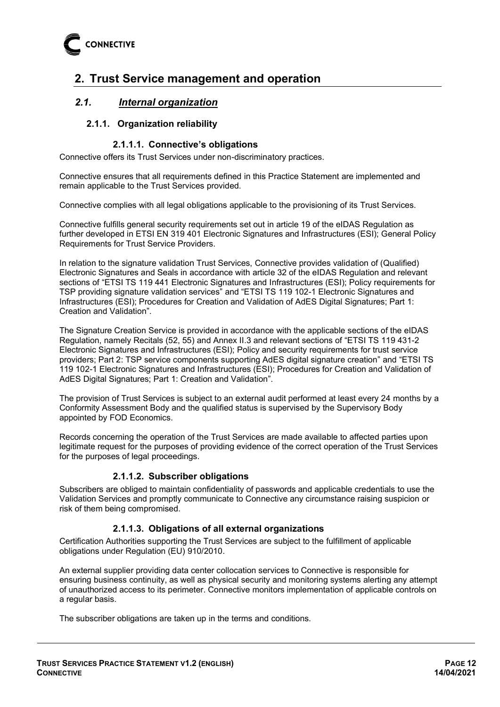

# <span id="page-11-0"></span>**2. Trust Service management and operation**

## <span id="page-11-2"></span><span id="page-11-1"></span>*2.1. Internal organization*

### **2.1.1. Organization reliability**

#### **2.1.1.1. Connective's obligations**

Connective offers its Trust Services under non-discriminatory practices.

Connective ensures that all requirements defined in this Practice Statement are implemented and remain applicable to the Trust Services provided.

Connective complies with all legal obligations applicable to the provisioning of its Trust Services.

Connective fulfills general security requirements set out in article 19 of the eIDAS Regulation as further developed in ETSI EN 319 401 Electronic Signatures and Infrastructures (ESI); General Policy Requirements for Trust Service Providers.

In relation to the signature validation Trust Services, Connective provides validation of (Qualified) Electronic Signatures and Seals in accordance with article 32 of the eIDAS Regulation and relevant sections of "ETSI TS 119 441 Electronic Signatures and Infrastructures (ESI); Policy requirements for TSP providing signature validation services" and "ETSI TS 119 102-1 Electronic Signatures and Infrastructures (ESI); Procedures for Creation and Validation of AdES Digital Signatures; Part 1: Creation and Validation".

The Signature Creation Service is provided in accordance with the applicable sections of the eIDAS Regulation, namely Recitals (52, 55) and Annex II.3 and relevant sections of "ETSI TS 119 431-2 Electronic Signatures and Infrastructures (ESI); Policy and security requirements for trust service providers; Part 2: TSP service components supporting AdES digital signature creation" and "ETSI TS 119 102-1 Electronic Signatures and Infrastructures (ESI); Procedures for Creation and Validation of AdES Digital Signatures; Part 1: Creation and Validation".

The provision of Trust Services is subject to an external audit performed at least every 24 months by a Conformity Assessment Body and the qualified status is supervised by the Supervisory Body appointed by FOD Economics.

Records concerning the operation of the Trust Services are made available to affected parties upon legitimate request for the purposes of providing evidence of the correct operation of the Trust Services for the purposes of legal proceedings.

#### **2.1.1.2. Subscriber obligations**

Subscribers are obliged to maintain confidentiality of passwords and applicable credentials to use the Validation Services and promptly communicate to Connective any circumstance raising suspicion or risk of them being compromised.

#### **2.1.1.3. Obligations of all external organizations**

Certification Authorities supporting the Trust Services are subject to the fulfillment of applicable obligations under Regulation (EU) 910/2010.

An external supplier providing data center collocation services to Connective is responsible for ensuring business continuity, as well as physical security and monitoring systems alerting any attempt of unauthorized access to its perimeter. Connective monitors implementation of applicable controls on a regular basis.

The subscriber obligations are taken up in the terms and conditions.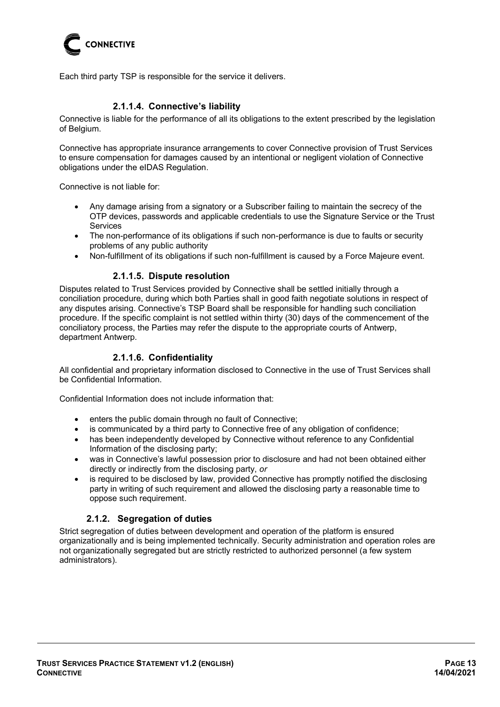

Each third party TSP is responsible for the service it delivers.

#### **2.1.1.4. Connective's liability**

Connective is liable for the performance of all its obligations to the extent prescribed by the legislation of Belgium.

Connective has appropriate insurance arrangements to cover Connective provision of Trust Services to ensure compensation for damages caused by an intentional or negligent violation of Connective obligations under the eIDAS Regulation.

Connective is not liable for:

- Any damage arising from a signatory or a Subscriber failing to maintain the secrecy of the OTP devices, passwords and applicable credentials to use the Signature Service or the Trust **Services**
- The non-performance of its obligations if such non-performance is due to faults or security problems of any public authority
- Non-fulfillment of its obligations if such non-fulfillment is caused by a Force Majeure event.

#### **2.1.1.5. Dispute resolution**

Disputes related to Trust Services provided by Connective shall be settled initially through a conciliation procedure, during which both Parties shall in good faith negotiate solutions in respect of any disputes arising. Connective's TSP Board shall be responsible for handling such conciliation procedure. If the specific complaint is not settled within thirty (30) days of the commencement of the conciliatory process, the Parties may refer the dispute to the appropriate courts of Antwerp, department Antwerp.

#### **2.1.1.6. Confidentiality**

All confidential and proprietary information disclosed to Connective in the use of Trust Services shall be Confidential Information.

Confidential Information does not include information that:

- enters the public domain through no fault of Connective;<br>• is communicated by a third party to Connective free of are
- is communicated by a third party to Connective free of any obligation of confidence;
- has been independently developed by Connective without reference to any Confidential Information of the disclosing party;
- was in Connective's lawful possession prior to disclosure and had not been obtained either directly or indirectly from the disclosing party, *or*
- is required to be disclosed by law, provided Connective has promptly notified the disclosing party in writing of such requirement and allowed the disclosing party a reasonable time to oppose such requirement.

#### **2.1.2. Segregation of duties**

<span id="page-12-0"></span>Strict segregation of duties between development and operation of the platform is ensured organizationally and is being implemented technically. Security administration and operation roles are not organizationally segregated but are strictly restricted to authorized personnel (a few system administrators).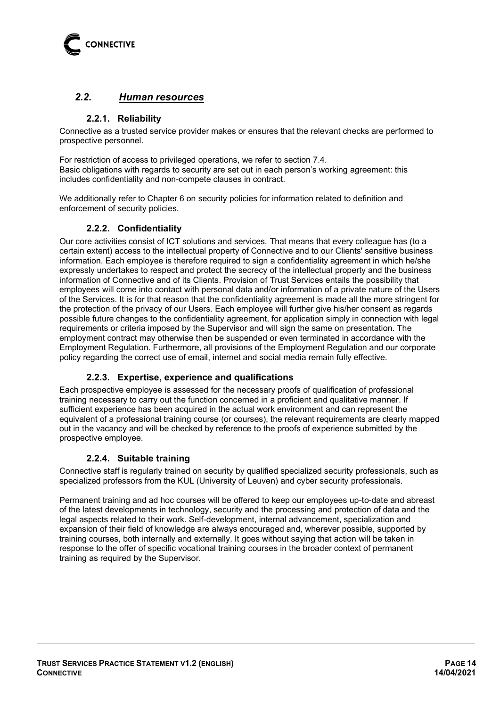

## <span id="page-13-0"></span>*2.2. Human resources*

#### **2.2.1. Reliability**

<span id="page-13-1"></span>Connective as a trusted service provider makes or ensures that the relevant checks are performed to prospective personnel.

For restriction of access to privileged operations, we refer to section 7.4. Basic obligations with regards to security are set out in each person's working agreement: this includes confidentiality and non-compete clauses in contract.

<span id="page-13-2"></span>We additionally refer to Chapter 6 on security policies for information related to definition and enforcement of security policies.

### **2.2.2. Confidentiality**

Our core activities consist of ICT solutions and services. That means that every colleague has (to a certain extent) access to the intellectual property of Connective and to our Clients' sensitive business information. Each employee is therefore required to sign a confidentiality agreement in which he/she expressly undertakes to respect and protect the secrecy of the intellectual property and the business information of Connective and of its Clients. Provision of Trust Services entails the possibility that employees will come into contact with personal data and/or information of a private nature of the Users of the Services. It is for that reason that the confidentiality agreement is made all the more stringent for the protection of the privacy of our Users. Each employee will further give his/her consent as regards possible future changes to the confidentiality agreement, for application simply in connection with legal requirements or criteria imposed by the Supervisor and will sign the same on presentation. The employment contract may otherwise then be suspended or even terminated in accordance with the Employment Regulation. Furthermore, all provisions of the Employment Regulation and our corporate policy regarding the correct use of email, internet and social media remain fully effective.

## **2.2.3. Expertise, experience and qualifications**

<span id="page-13-3"></span>Each prospective employee is assessed for the necessary proofs of qualification of professional training necessary to carry out the function concerned in a proficient and qualitative manner. If sufficient experience has been acquired in the actual work environment and can represent the equivalent of a professional training course (or courses), the relevant requirements are clearly mapped out in the vacancy and will be checked by reference to the proofs of experience submitted by the prospective employee.

#### **2.2.4. Suitable training**

<span id="page-13-4"></span>Connective staff is regularly trained on security by qualified specialized security professionals, such as specialized professors from the KUL (University of Leuven) and cyber security professionals.

Permanent training and ad hoc courses will be offered to keep our employees up-to-date and abreast of the latest developments in technology, security and the processing and protection of data and the legal aspects related to their work. Self-development, internal advancement, specialization and expansion of their field of knowledge are always encouraged and, wherever possible, supported by training courses, both internally and externally. It goes without saying that action will be taken in response to the offer of specific vocational training courses in the broader context of permanent training as required by the Supervisor.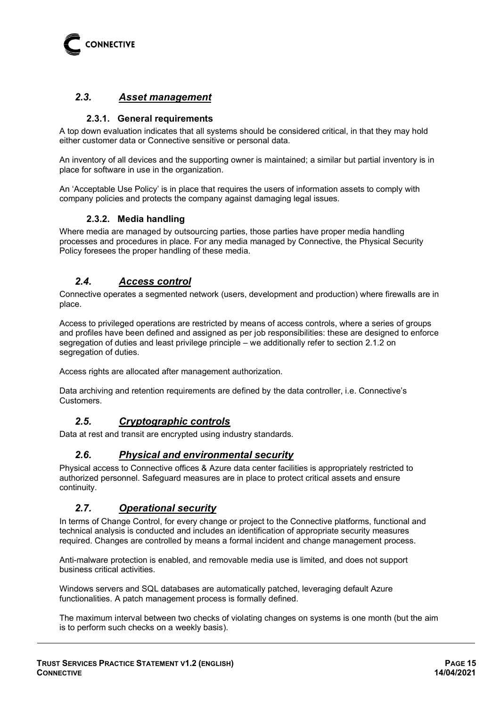

## <span id="page-14-0"></span>*2.3. Asset management*

#### **2.3.1. General requirements**

<span id="page-14-1"></span>A top down evaluation indicates that all systems should be considered critical, in that they may hold either customer data or Connective sensitive or personal data.

An inventory of all devices and the supporting owner is maintained; a similar but partial inventory is in place for software in use in the organization.

<span id="page-14-2"></span>An 'Acceptable Use Policy' is in place that requires the users of information assets to comply with company policies and protects the company against damaging legal issues.

### **2.3.2. Media handling**

Where media are managed by outsourcing parties, those parties have proper media handling processes and procedures in place. For any media managed by Connective, the Physical Security Policy foresees the proper handling of these media.

## <span id="page-14-3"></span>*2.4. Access control*

Connective operates a segmented network (users, development and production) where firewalls are in place.

Access to privileged operations are restricted by means of access controls, where a series of groups and profiles have been defined and assigned as per job responsibilities: these are designed to enforce segregation of duties and least privilege principle – we additionally refer to section [2.1.2](#page-12-0) on segregation of duties.

Access rights are allocated after management authorization.

<span id="page-14-4"></span>Data archiving and retention requirements are defined by the data controller, i.e. Connective's Customers.

## *2.5. Cryptographic controls*

<span id="page-14-5"></span>Data at rest and transit are encrypted using industry standards.

## *2.6. Physical and environmental security*

Physical access to Connective offices & Azure data center facilities is appropriately restricted to authorized personnel. Safeguard measures are in place to protect critical assets and ensure continuity.

## <span id="page-14-6"></span>*2.7. Operational security*

In terms of Change Control, for every change or project to the Connective platforms, functional and technical analysis is conducted and includes an identification of appropriate security measures required. Changes are controlled by means a formal incident and change management process.

Anti-malware protection is enabled, and removable media use is limited, and does not support business critical activities.

Windows servers and SQL databases are automatically patched, leveraging default Azure functionalities. A patch management process is formally defined.

The maximum interval between two checks of violating changes on systems is one month (but the aim is to perform such checks on a weekly basis).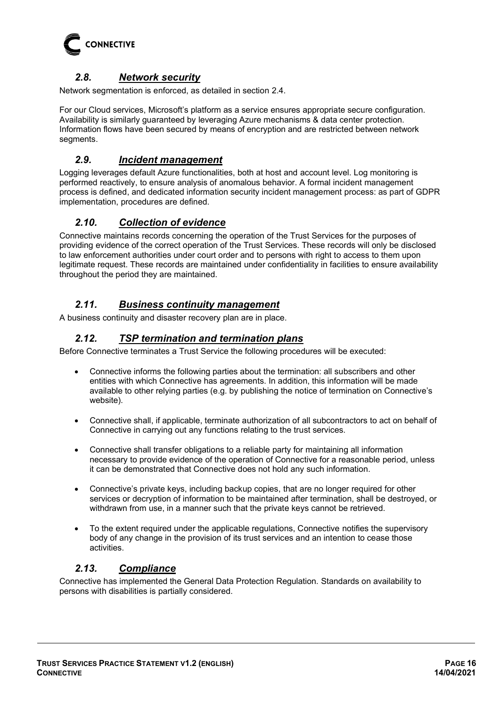

## *2.8. Network security*

<span id="page-15-0"></span>Network segmentation is enforced, as detailed in section [2.4.](#page-14-3)

For our Cloud services, Microsoft's platform as a service ensures appropriate secure configuration. Availability is similarly guaranteed by leveraging Azure mechanisms & data center protection. Information flows have been secured by means of encryption and are restricted between network segments.

## <span id="page-15-1"></span>*2.9. Incident management*

Logging leverages default Azure functionalities, both at host and account level. Log monitoring is performed reactively, to ensure analysis of anomalous behavior. A formal incident management process is defined, and dedicated information security incident management process: as part of GDPR implementation, procedures are defined.

## <span id="page-15-2"></span>*2.10. Collection of evidence*

Connective maintains records concerning the operation of the Trust Services for the purposes of providing evidence of the correct operation of the Trust Services. These records will only be disclosed to law enforcement authorities under court order and to persons with right to access to them upon legitimate request. These records are maintained under confidentiality in facilities to ensure availability throughout the period they are maintained.

## <span id="page-15-3"></span>*2.11. Business continuity management*

<span id="page-15-4"></span>A business continuity and disaster recovery plan are in place.

### *2.12. TSP termination and termination plans*

Before Connective terminates a Trust Service the following procedures will be executed:

- Connective informs the following parties about the termination: all subscribers and other entities with which Connective has agreements. In addition, this information will be made available to other relying parties (e.g. by publishing the notice of termination on Connective's website).
- Connective shall, if applicable, terminate authorization of all subcontractors to act on behalf of Connective in carrying out any functions relating to the trust services.
- Connective shall transfer obligations to a reliable party for maintaining all information necessary to provide evidence of the operation of Connective for a reasonable period, unless it can be demonstrated that Connective does not hold any such information.
- Connective's private keys, including backup copies, that are no longer required for other services or decryption of information to be maintained after termination, shall be destroyed, or withdrawn from use, in a manner such that the private keys cannot be retrieved.
- To the extent required under the applicable regulations, Connective notifies the supervisory body of any change in the provision of its trust services and an intention to cease those activities.

## <span id="page-15-5"></span>*2.13. Compliance*

Connective has implemented the General Data Protection Regulation. Standards on availability to persons with disabilities is partially considered.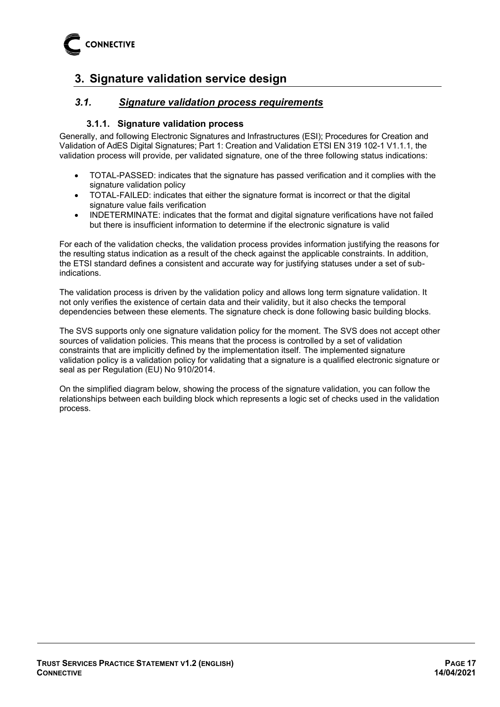

# <span id="page-16-0"></span>**3. Signature validation service design**

## <span id="page-16-1"></span>*3.1. Signature validation process requirements*

#### **3.1.1. Signature validation process**

<span id="page-16-2"></span>Generally, and following Electronic Signatures and Infrastructures (ESI); Procedures for Creation and Validation of AdES Digital Signatures; Part 1: Creation and Validation ETSI EN 319 102-1 V1.1.1, the validation process will provide, per validated signature, one of the three following status indications:

- TOTAL-PASSED: indicates that the signature has passed verification and it complies with the signature validation policy
- TOTAL-FAILED: indicates that either the signature format is incorrect or that the digital signature value fails verification
- INDETERMINATE: indicates that the format and digital signature verifications have not failed but there is insufficient information to determine if the electronic signature is valid

For each of the validation checks, the validation process provides information justifying the reasons for the resulting status indication as a result of the check against the applicable constraints. In addition, the ETSI standard defines a consistent and accurate way for justifying statuses under a set of subindications.

The validation process is driven by the validation policy and allows long term signature validation. It not only verifies the existence of certain data and their validity, but it also checks the temporal dependencies between these elements. The signature check is done following basic building blocks.

The SVS supports only one signature validation policy for the moment. The SVS does not accept other sources of validation policies. This means that the process is controlled by a set of validation constraints that are implicitly defined by the implementation itself. The implemented signature validation policy is a validation policy for validating that a signature is a qualified electronic signature or seal as per Regulation (EU) No 910/2014.

On the simplified diagram below, showing the process of the signature validation, you can follow the relationships between each building block which represents a logic set of checks used in the validation process.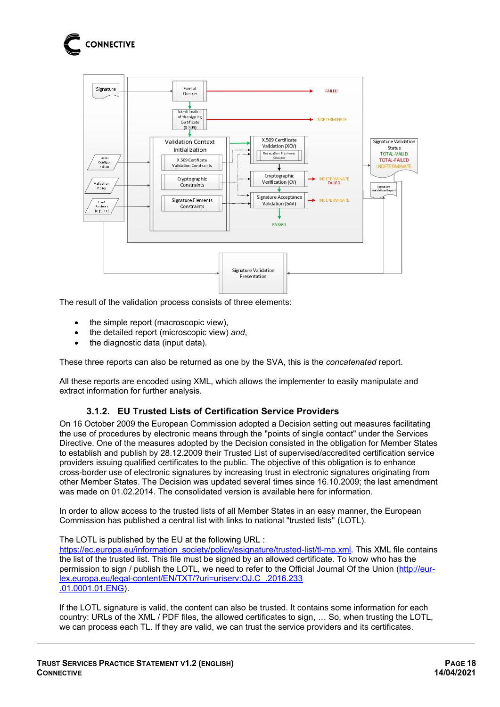



The result of the validation process consists of three elements:

- the simple report (macroscopic view),
- the detailed report (microscopic view) *and*,
- the diagnostic data (input data).

These three reports can also be returned as one by the SVA, this is the *concatenated* report.

<span id="page-17-0"></span>All these reports are encoded using XML, which allows the implementer to easily manipulate and extract information for further analysis.

#### **3.1.2. EU Trusted Lists of Certification Service Providers**

On 16 October 2009 the European Commission adopted a Decision setting out measures facilitating the use of procedures by electronic means through the "points of single contact" under the Services Directive. One of the measures adopted by the Decision consisted in the obligation for Member States to establish and publish by 28.12.2009 their Trusted List of supervised/accredited certification service providers issuing qualified certificates to the public. The objective of this obligation is to enhance cross-border use of electronic signatures by increasing trust in electronic signatures originating from other Member States. The Decision was updated several times since 16.10.2009; the last amendment was made on 01.02.2014. The consolidated version is available here for information.

In order to allow access to the trusted lists of all Member States in an easy manner, the European Commission has published a central list with links to national "trusted lists" (LOTL).

#### The LOTL is published by the EU at the following URL :

[https://ec.europa.eu/information\\_society/policy/esignature/trusted-list/tl-mp.xml.](https://ec.europa.eu/information_society/policy/esignature/trusted-list/tl-mp.xml) This XML file contains the list of the trusted list. This file must be signed by an allowed certificate. To know who has the permission to sign / publish the LOTL, we need to refer to the Official Journal Of the Union [\(http://eur](http://eur-lex.europa.eu/legal-content/EN/TXT/?uri=uriserv:OJ.C_.2016.233.01.0001.01.ENG)[lex.europa.eu/legal-content/EN/TXT/?uri=uriserv:OJ.C\\_.2016.233](http://eur-lex.europa.eu/legal-content/EN/TXT/?uri=uriserv:OJ.C_.2016.233.01.0001.01.ENG)  [.01.0001.01.ENG\)](http://eur-lex.europa.eu/legal-content/EN/TXT/?uri=uriserv:OJ.C_.2016.233.01.0001.01.ENG).

If the LOTL signature is valid, the content can also be trusted. It contains some information for each country: URLs of the XML / PDF files, the allowed certificates to sign, … So, when trusting the LOTL, we can process each TL. If they are valid, we can trust the service providers and its certificates.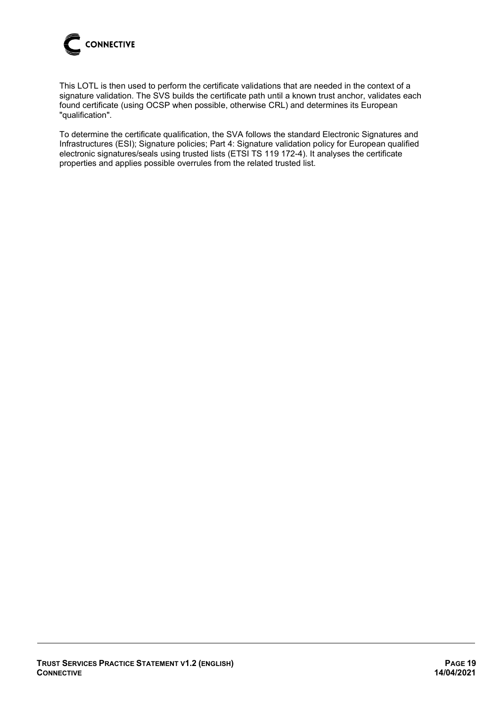

This LOTL is then used to perform the certificate validations that are needed in the context of a signature validation. The SVS builds the certificate path until a known trust anchor, validates each found certificate (using OCSP when possible, otherwise CRL) and determines its European "qualification".

To determine the certificate qualification, the SVA follows the standard Electronic Signatures and Infrastructures (ESI); Signature policies; Part 4: Signature validation policy for European qualified electronic signatures/seals using trusted lists (ETSI TS 119 172-4). It analyses the certificate properties and applies possible overrules from the related trusted list.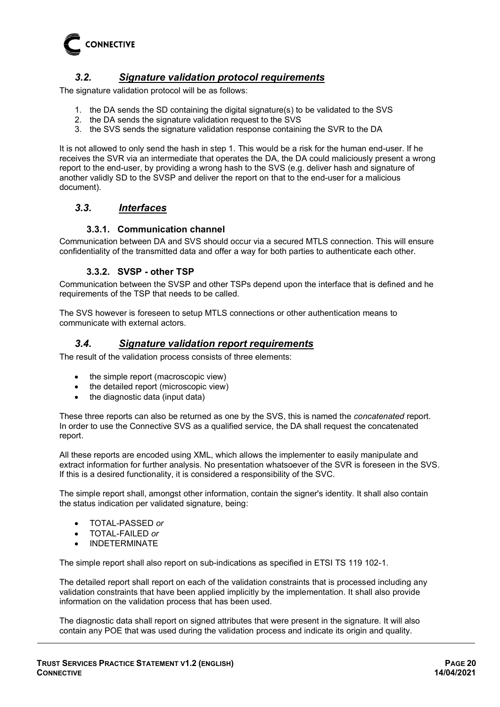

## *3.2. Signature validation protocol requirements*

<span id="page-19-0"></span>The signature validation protocol will be as follows:

- 1. the DA sends the SD containing the digital signature(s) to be validated to the SVS
- 2. the DA sends the signature validation request to the SVS
- 3. the SVS sends the signature validation response containing the SVR to the DA

It is not allowed to only send the hash in step 1. This would be a risk for the human end-user. If he receives the SVR via an intermediate that operates the DA, the DA could maliciously present a wrong report to the end-user, by providing a wrong hash to the SVS (e.g. deliver hash and signature of another validly SD to the SVSP and deliver the report on that to the end-user for a malicious document).

#### <span id="page-19-1"></span>*3.3. Interfaces*

#### **3.3.1. Communication channel**

<span id="page-19-3"></span><span id="page-19-2"></span>Communication between DA and SVS should occur via a secured MTLS connection. This will ensure confidentiality of the transmitted data and offer a way for both parties to authenticate each other.

#### **3.3.2. SVSP - other TSP**

Communication between the SVSP and other TSPs depend upon the interface that is defined and he requirements of the TSP that needs to be called.

<span id="page-19-4"></span>The SVS however is foreseen to setup MTLS connections or other authentication means to communicate with external actors.

### *3.4. Signature validation report requirements*

The result of the validation process consists of three elements:

- the simple report (macroscopic view)
- the detailed report (microscopic view)
- the diagnostic data (input data)

These three reports can also be returned as one by the SVS, this is named the *concatenated* report. In order to use the Connective SVS as a qualified service, the DA shall request the concatenated report.

All these reports are encoded using XML, which allows the implementer to easily manipulate and extract information for further analysis. No presentation whatsoever of the SVR is foreseen in the SVS. If this is a desired functionality, it is considered a responsibility of the SVC.

The simple report shall, amongst other information, contain the signer's identity. It shall also contain the status indication per validated signature, being:

- TOTAL-PASSED *or*
- TOTAL-FAILED *or*
- INDETERMINATE

The simple report shall also report on sub-indications as specified in ETSI TS 119 102-1.

The detailed report shall report on each of the validation constraints that is processed including any validation constraints that have been applied implicitly by the implementation. It shall also provide information on the validation process that has been used.

The diagnostic data shall report on signed attributes that were present in the signature. It will also contain any POE that was used during the validation process and indicate its origin and quality.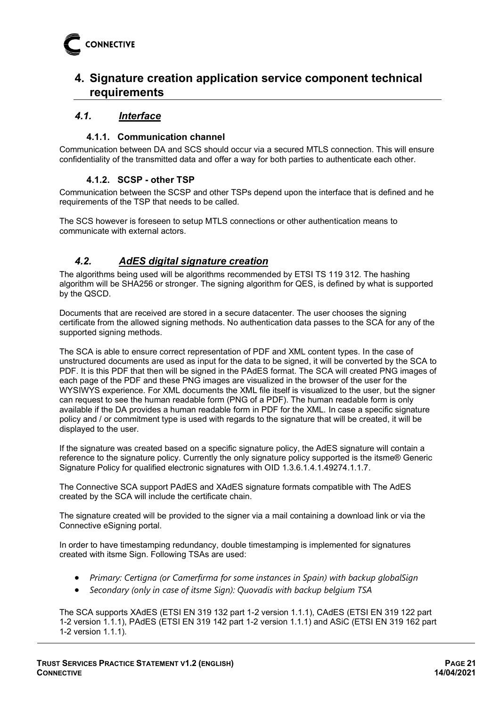## <span id="page-20-0"></span>**4. Signature creation application service component technical requirements**

## <span id="page-20-1"></span>*4.1. Interface*

## **4.1.1. Communication channel**

<span id="page-20-3"></span><span id="page-20-2"></span>Communication between DA and SCS should occur via a secured MTLS connection. This will ensure confidentiality of the transmitted data and offer a way for both parties to authenticate each other.

#### **4.1.2. SCSP - other TSP**

Communication between the SCSP and other TSPs depend upon the interface that is defined and he requirements of the TSP that needs to be called.

The SCS however is foreseen to setup MTLS connections or other authentication means to communicate with external actors.

## <span id="page-20-4"></span>*4.2. AdES digital signature creation*

The algorithms being used will be algorithms recommended by ETSI TS 119 312. The hashing algorithm will be SHA256 or stronger. The signing algorithm for QES, is defined by what is supported by the QSCD.

Documents that are received are stored in a secure datacenter. The user chooses the signing certificate from the allowed signing methods. No authentication data passes to the SCA for any of the supported signing methods.

The SCA is able to ensure correct representation of PDF and XML content types. In the case of unstructured documents are used as input for the data to be signed, it will be converted by the SCA to PDF. It is this PDF that then will be signed in the PAdES format. The SCA will created PNG images of each page of the PDF and these PNG images are visualized in the browser of the user for the WYSIWYS experience. For XML documents the XML file itself is visualized to the user, but the signer can request to see the human readable form (PNG of a PDF). The human readable form is only available if the DA provides a human readable form in PDF for the XML. In case a specific signature policy and / or commitment type is used with regards to the signature that will be created, it will be displayed to the user.

If the signature was created based on a specific signature policy, the AdES signature will contain a reference to the signature policy. Currently the only signature policy supported is the itsme® Generic Signature Policy for qualified electronic signatures with OID 1.3.6.1.4.1.49274.1.1.7.

The Connective SCA support PAdES and XAdES signature formats compatible with The AdES created by the SCA will include the certificate chain.

The signature created will be provided to the signer via a mail containing a download link or via the Connective eSigning portal.

In order to have timestamping redundancy, double timestamping is implemented for signatures created with itsme Sign. Following TSAs are used:

- *Primary: Certigna (or Camerfirma for some instances in Spain) with backup globalSign*
- *Secondary (only in case of itsme Sign): Quovadis with backup belgium TSA*

The SCA supports XAdES (ETSI EN 319 132 part 1-2 version 1.1.1), CAdES (ETSI EN 319 122 part 1-2 version 1.1.1), PAdES (ETSI EN 319 142 part 1-2 version 1.1.1) and ASiC (ETSI EN 319 162 part 1-2 version 1.1.1).